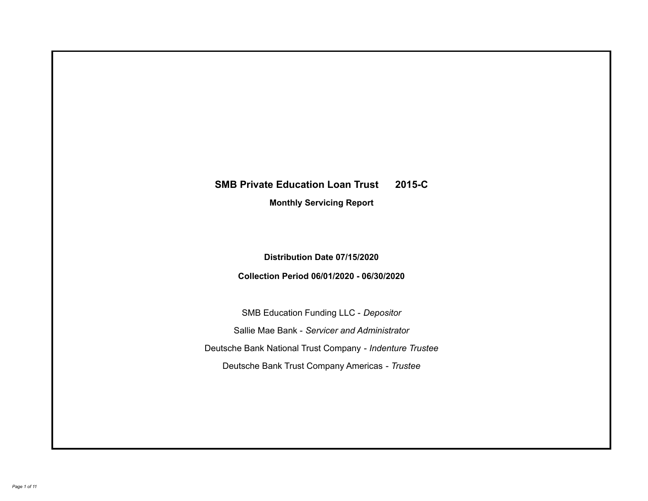# **SMB Private Education Loan Trust 2015-C Monthly Servicing Report**

**Distribution Date 07/15/2020**

**Collection Period 06/01/2020 - 06/30/2020**

SMB Education Funding LLC - *Depositor* Sallie Mae Bank - *Servicer and Administrator* Deutsche Bank National Trust Company - *Indenture Trustee* Deutsche Bank Trust Company Americas - *Trustee*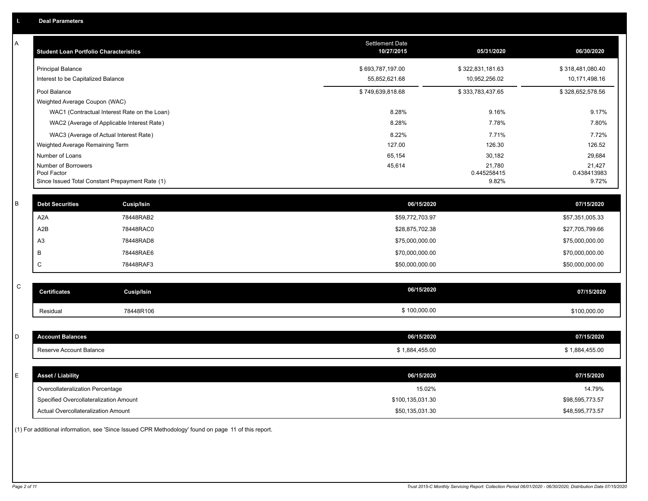| A           | <b>Student Loan Portfolio Characteristics</b>      |            | Settlement Date<br>10/27/2015 | 05/31/2020       | 06/30/2020       |
|-------------|----------------------------------------------------|------------|-------------------------------|------------------|------------------|
|             | <b>Principal Balance</b>                           |            | \$693,787,197.00              | \$322,831,181.63 | \$318,481,080.40 |
|             | Interest to be Capitalized Balance                 |            | 55,852,621.68                 | 10,952,256.02    | 10,171,498.16    |
|             | Pool Balance                                       |            | \$749,639,818.68              | \$333,783,437.65 | \$328,652,578.56 |
|             | Weighted Average Coupon (WAC)                      |            |                               |                  |                  |
|             | WAC1 (Contractual Interest Rate on the Loan)       |            | 8.28%                         | 9.16%            | 9.17%            |
|             | WAC2 (Average of Applicable Interest Rate)         |            | 8.28%                         | 7.78%            | 7.80%            |
|             | WAC3 (Average of Actual Interest Rate)             |            | 8.22%                         | 7.71%            | 7.72%            |
|             | Weighted Average Remaining Term<br>Number of Loans |            | 127.00<br>65,154              | 126.30<br>30,182 | 126.52<br>29,684 |
|             | Number of Borrowers                                |            | 45,614                        | 21,780           | 21,427           |
|             | Pool Factor                                        |            |                               | 0.445258415      | 0.438413983      |
|             | Since Issued Total Constant Prepayment Rate (1)    |            |                               | 9.82%            | 9.72%            |
| B           | <b>Debt Securities</b>                             | Cusip/Isin | 06/15/2020                    |                  | 07/15/2020       |
|             | A <sub>2</sub> A                                   | 78448RAB2  | \$59,772,703.97               |                  | \$57,351,005.33  |
|             | A <sub>2</sub> B                                   | 78448RAC0  | \$28,875,702.38               |                  | \$27,705,799.66  |
|             | A <sub>3</sub>                                     | 78448RAD8  | \$75,000,000.00               |                  | \$75,000,000.00  |
|             | B                                                  | 78448RAE6  | \$70,000,000.00               |                  | \$70,000,000.00  |
|             | C                                                  | 78448RAF3  | \$50,000,000.00               |                  | \$50,000,000.00  |
|             |                                                    |            |                               |                  |                  |
| $\mathsf C$ | <b>Certificates</b>                                | Cusip/Isin | 06/15/2020                    |                  | 07/15/2020       |
|             | Residual                                           | 78448R106  | \$100,000.00                  |                  | \$100,000.00     |
|             |                                                    |            |                               |                  |                  |
| D           | <b>Account Balances</b>                            |            | 06/15/2020                    |                  | 07/15/2020       |
|             | Reserve Account Balance                            |            | \$1,884,455.00                |                  | \$1,884,455.00   |
|             |                                                    |            |                               |                  |                  |
| E           | <b>Asset / Liability</b>                           |            | 06/15/2020                    |                  | 07/15/2020       |
|             | Overcollateralization Percentage                   |            | 15.02%                        |                  | 14.79%           |
|             | Specified Overcollateralization Amount             |            | \$100,135,031.30              |                  | \$98,595,773.57  |
|             | Actual Overcollateralization Amount                |            | \$50,135,031.30               |                  | \$48,595,773.57  |
|             |                                                    |            |                               |                  |                  |

(1) For additional information, see 'Since Issued CPR Methodology' found on page 11 of this report.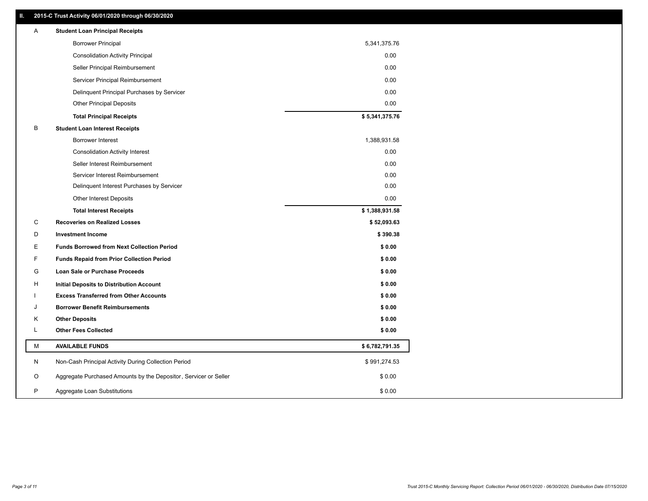# **II. 2015-C Trust Activity 06/01/2020 through 06/30/2020**

| Α | <b>Student Loan Principal Receipts</b>                           |                |  |
|---|------------------------------------------------------------------|----------------|--|
|   | <b>Borrower Principal</b>                                        | 5,341,375.76   |  |
|   | <b>Consolidation Activity Principal</b>                          | 0.00           |  |
|   | Seller Principal Reimbursement                                   | 0.00           |  |
|   | Servicer Principal Reimbursement                                 | 0.00           |  |
|   | Delinquent Principal Purchases by Servicer                       | 0.00           |  |
|   | <b>Other Principal Deposits</b>                                  | 0.00           |  |
|   | <b>Total Principal Receipts</b>                                  | \$5,341,375.76 |  |
| В | <b>Student Loan Interest Receipts</b>                            |                |  |
|   | <b>Borrower Interest</b>                                         | 1,388,931.58   |  |
|   | <b>Consolidation Activity Interest</b>                           | 0.00           |  |
|   | Seller Interest Reimbursement                                    | 0.00           |  |
|   | Servicer Interest Reimbursement                                  | 0.00           |  |
|   | Delinquent Interest Purchases by Servicer                        | 0.00           |  |
|   | <b>Other Interest Deposits</b>                                   | 0.00           |  |
|   | <b>Total Interest Receipts</b>                                   | \$1,388,931.58 |  |
| С | <b>Recoveries on Realized Losses</b>                             | \$52,093.63    |  |
| D | <b>Investment Income</b>                                         | \$390.38       |  |
| Е | <b>Funds Borrowed from Next Collection Period</b>                | \$0.00         |  |
| F | <b>Funds Repaid from Prior Collection Period</b>                 | \$0.00         |  |
| G | Loan Sale or Purchase Proceeds                                   | \$0.00         |  |
| н | Initial Deposits to Distribution Account                         | \$0.00         |  |
|   | <b>Excess Transferred from Other Accounts</b>                    | \$0.00         |  |
| J | <b>Borrower Benefit Reimbursements</b>                           | \$0.00         |  |
| Κ | <b>Other Deposits</b>                                            | \$0.00         |  |
| L | <b>Other Fees Collected</b>                                      | \$0.00         |  |
| М | <b>AVAILABLE FUNDS</b>                                           | \$6,782,791.35 |  |
| N | Non-Cash Principal Activity During Collection Period             | \$991,274.53   |  |
| O | Aggregate Purchased Amounts by the Depositor, Servicer or Seller | \$0.00         |  |
| P | Aggregate Loan Substitutions                                     | \$0.00         |  |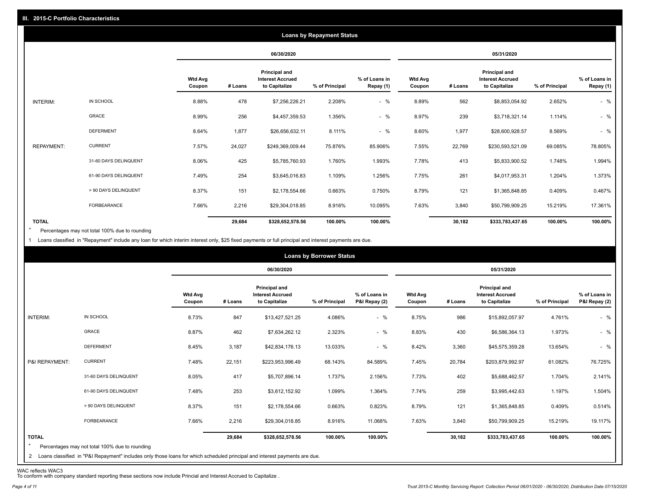|                   |                       |                          |         |                                                           | <b>Loans by Repayment Status</b> |                            |                          |         |                                                           |                |                            |
|-------------------|-----------------------|--------------------------|---------|-----------------------------------------------------------|----------------------------------|----------------------------|--------------------------|---------|-----------------------------------------------------------|----------------|----------------------------|
|                   |                       |                          |         | 06/30/2020                                                |                                  |                            |                          |         | 05/31/2020                                                |                |                            |
|                   |                       | <b>Wtd Avg</b><br>Coupon | # Loans | Principal and<br><b>Interest Accrued</b><br>to Capitalize | % of Principal                   | % of Loans in<br>Repay (1) | <b>Wtd Avg</b><br>Coupon | # Loans | Principal and<br><b>Interest Accrued</b><br>to Capitalize | % of Principal | % of Loans in<br>Repay (1) |
| INTERIM:          | IN SCHOOL             | 8.88%                    | 478     | \$7,256,226.21                                            | 2.208%                           | $-$ %                      | 8.89%                    | 562     | \$8,853,054.92                                            | 2.652%         | $-$ %                      |
|                   | <b>GRACE</b>          | 8.99%                    | 256     | \$4,457,359.53                                            | 1.356%                           | $-$ %                      | 8.97%                    | 239     | \$3,718,321.14                                            | 1.114%         | $-$ %                      |
|                   | <b>DEFERMENT</b>      | 8.64%                    | 1,877   | \$26,656,632.11                                           | 8.111%                           | $-$ %                      | 8.60%                    | 1,977   | \$28,600,928.57                                           | 8.569%         | $-$ %                      |
| <b>REPAYMENT:</b> | <b>CURRENT</b>        | 7.57%                    | 24,027  | \$249,369,009.44                                          | 75.876%                          | 85.906%                    | 7.55%                    | 22,769  | \$230,593,521.09                                          | 69.085%        | 78.805%                    |
|                   | 31-60 DAYS DELINQUENT | 8.06%                    | 425     | \$5,785,760.93                                            | 1.760%                           | 1.993%                     | 7.78%                    | 413     | \$5,833,900.52                                            | 1.748%         | 1.994%                     |
|                   | 61-90 DAYS DELINQUENT | 7.49%                    | 254     | \$3,645,016.83                                            | 1.109%                           | 1.256%                     | 7.75%                    | 261     | \$4,017,953.31                                            | 1.204%         | 1.373%                     |
|                   | > 90 DAYS DELINQUENT  | 8.37%                    | 151     | \$2,178,554.66                                            | 0.663%                           | 0.750%                     | 8.79%                    | 121     | \$1,365,848.85                                            | 0.409%         | 0.467%                     |
|                   | FORBEARANCE           | 7.66%                    | 2,216   | \$29,304,018.85                                           | 8.916%                           | 10.095%                    | 7.63%                    | 3,840   | \$50,799,909.25                                           | 15.219%        | 17.361%                    |
| <b>TOTAL</b>      |                       |                          | 29,684  | \$328,652,578.56                                          | 100.00%                          | 100.00%                    |                          | 30,182  | \$333,783,437.65                                          | 100.00%        | 100.00%                    |

Percentages may not total 100% due to rounding  $\star$ 

1 Loans classified in "Repayment" include any loan for which interim interest only, \$25 fixed payments or full principal and interest payments are due.

|                         |                                                                                                                                                                                |                          |         |                                                                  | <b>Loans by Borrower Status</b> |                                |                          |         |                                                                  |                |                                |
|-------------------------|--------------------------------------------------------------------------------------------------------------------------------------------------------------------------------|--------------------------|---------|------------------------------------------------------------------|---------------------------------|--------------------------------|--------------------------|---------|------------------------------------------------------------------|----------------|--------------------------------|
|                         |                                                                                                                                                                                |                          |         | 06/30/2020                                                       |                                 |                                |                          |         | 05/31/2020                                                       |                |                                |
|                         |                                                                                                                                                                                | <b>Wtd Avg</b><br>Coupon | # Loans | <b>Principal and</b><br><b>Interest Accrued</b><br>to Capitalize | % of Principal                  | % of Loans in<br>P&I Repay (2) | <b>Wtd Avg</b><br>Coupon | # Loans | <b>Principal and</b><br><b>Interest Accrued</b><br>to Capitalize | % of Principal | % of Loans in<br>P&I Repay (2) |
| INTERIM:                | IN SCHOOL                                                                                                                                                                      | 8.73%                    | 847     | \$13,427,521.25                                                  | 4.086%                          | $-$ %                          | 8.75%                    | 986     | \$15,892,057.97                                                  | 4.761%         | $-$ %                          |
|                         | GRACE                                                                                                                                                                          | 8.87%                    | 462     | \$7,634,262.12                                                   | 2.323%                          | $-$ %                          | 8.83%                    | 430     | \$6,586,364.13                                                   | 1.973%         | $-$ %                          |
|                         | <b>DEFERMENT</b>                                                                                                                                                               | 8.45%                    | 3,187   | \$42,834,176.13                                                  | 13.033%                         | $-$ %                          | 8.42%                    | 3,360   | \$45,575,359.28                                                  | 13.654%        | $-$ %                          |
| P&I REPAYMENT:          | <b>CURRENT</b>                                                                                                                                                                 | 7.48%                    | 22,151  | \$223,953,996.49                                                 | 68.143%                         | 84.589%                        | 7.45%                    | 20,784  | \$203,879,992.97                                                 | 61.082%        | 76.725%                        |
|                         | 31-60 DAYS DELINQUENT                                                                                                                                                          | 8.05%                    | 417     | \$5,707,896.14                                                   | 1.737%                          | 2.156%                         | 7.73%                    | 402     | \$5,688,462.57                                                   | 1.704%         | 2.141%                         |
|                         | 61-90 DAYS DELINQUENT                                                                                                                                                          | 7.48%                    | 253     | \$3,612,152.92                                                   | 1.099%                          | 1.364%                         | 7.74%                    | 259     | \$3,995,442.63                                                   | 1.197%         | 1.504%                         |
|                         | > 90 DAYS DELINQUENT                                                                                                                                                           | 8.37%                    | 151     | \$2,178,554.66                                                   | 0.663%                          | 0.823%                         | 8.79%                    | 121     | \$1,365,848.85                                                   | 0.409%         | 0.514%                         |
|                         | FORBEARANCE                                                                                                                                                                    | 7.66%                    | 2,216   | \$29,304,018.85                                                  | 8.916%                          | 11.068%                        | 7.63%                    | 3,840   | \$50,799,909.25                                                  | 15.219%        | 19.117%                        |
| <b>TOTAL</b><br>$\star$ | Percentages may not total 100% due to rounding<br>2 Loans classified in "P&I Repayment" includes only those loans for which scheduled principal and interest payments are due. |                          | 29,684  | \$328,652,578.56                                                 | 100.00%                         | 100.00%                        |                          | 30,182  | \$333,783,437.65                                                 | 100.00%        | 100.00%                        |

WAC reflects WAC3 To conform with company standard reporting these sections now include Princial and Interest Accrued to Capitalize .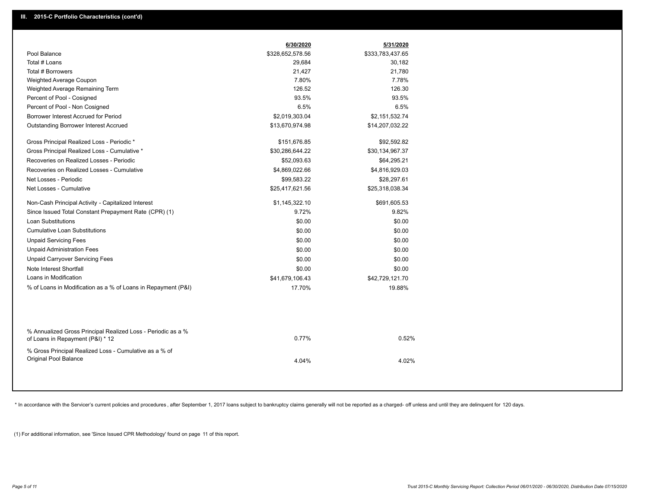|                                                                                                  | 6/30/2020        | 5/31/2020        |  |
|--------------------------------------------------------------------------------------------------|------------------|------------------|--|
| Pool Balance                                                                                     | \$328,652,578.56 | \$333,783,437.65 |  |
| Total # Loans                                                                                    | 29,684           | 30,182           |  |
| Total # Borrowers                                                                                | 21,427           | 21,780           |  |
| Weighted Average Coupon                                                                          | 7.80%            | 7.78%            |  |
| Weighted Average Remaining Term                                                                  | 126.52           | 126.30           |  |
| Percent of Pool - Cosigned                                                                       | 93.5%            | 93.5%            |  |
| Percent of Pool - Non Cosigned                                                                   | 6.5%             | 6.5%             |  |
| Borrower Interest Accrued for Period                                                             | \$2,019,303.04   | \$2,151,532.74   |  |
| Outstanding Borrower Interest Accrued                                                            | \$13,670,974.98  | \$14,207,032.22  |  |
| Gross Principal Realized Loss - Periodic *                                                       | \$151,676.85     | \$92,592.82      |  |
| Gross Principal Realized Loss - Cumulative *                                                     | \$30,286,644.22  | \$30,134,967.37  |  |
| Recoveries on Realized Losses - Periodic                                                         | \$52,093.63      | \$64,295.21      |  |
| Recoveries on Realized Losses - Cumulative                                                       | \$4,869,022.66   | \$4,816,929.03   |  |
| Net Losses - Periodic                                                                            | \$99,583.22      | \$28,297.61      |  |
| Net Losses - Cumulative                                                                          | \$25,417,621.56  | \$25,318,038.34  |  |
| Non-Cash Principal Activity - Capitalized Interest                                               | \$1,145,322.10   | \$691,605.53     |  |
| Since Issued Total Constant Prepayment Rate (CPR) (1)                                            | 9.72%            | 9.82%            |  |
| <b>Loan Substitutions</b>                                                                        | \$0.00           | \$0.00           |  |
| <b>Cumulative Loan Substitutions</b>                                                             | \$0.00           | \$0.00           |  |
| <b>Unpaid Servicing Fees</b>                                                                     | \$0.00           | \$0.00           |  |
| <b>Unpaid Administration Fees</b>                                                                | \$0.00           | \$0.00           |  |
| <b>Unpaid Carryover Servicing Fees</b>                                                           | \$0.00           | \$0.00           |  |
| Note Interest Shortfall                                                                          | \$0.00           | \$0.00           |  |
| Loans in Modification                                                                            | \$41,679,106.43  | \$42,729,121.70  |  |
| % of Loans in Modification as a % of Loans in Repayment (P&I)                                    | 17.70%           | 19.88%           |  |
|                                                                                                  |                  |                  |  |
| % Annualized Gross Principal Realized Loss - Periodic as a %<br>of Loans in Repayment (P&I) * 12 | 0.77%            | 0.52%            |  |
| % Gross Principal Realized Loss - Cumulative as a % of<br>Original Pool Balance                  | 4.04%            | 4.02%            |  |
|                                                                                                  |                  |                  |  |

\* In accordance with the Servicer's current policies and procedures, after September 1, 2017 loans subject to bankruptcy claims generally will not be reported as a charged- off unless and until they are delinquent for 120

(1) For additional information, see 'Since Issued CPR Methodology' found on page 11 of this report.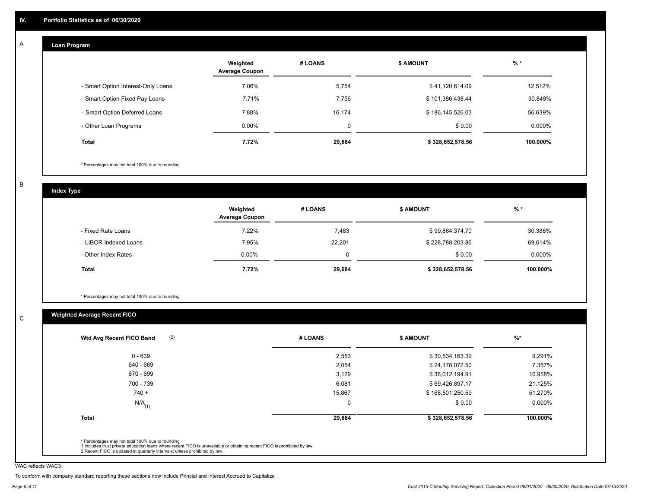#### **Loan Program**  A

|                                    | Weighted<br><b>Average Coupon</b> | # LOANS     | <b>\$ AMOUNT</b> | $%$ *    |
|------------------------------------|-----------------------------------|-------------|------------------|----------|
| - Smart Option Interest-Only Loans | 7.06%                             | 5,754       | \$41,120,614.09  | 12.512%  |
| - Smart Option Fixed Pay Loans     | 7.71%                             | 7,756       | \$101,386,438.44 | 30.849%  |
| - Smart Option Deferred Loans      | 7.88%                             | 16.174      | \$186,145,526.03 | 56.639%  |
| - Other Loan Programs              | $0.00\%$                          | $\mathbf 0$ | \$0.00           | 0.000%   |
| <b>Total</b>                       | 7.72%                             | 29,684      | \$328,652,578.56 | 100.000% |

\* Percentages may not total 100% due to rounding

B

C

**Index Type**

|                       | Weighted<br><b>Average Coupon</b> | # LOANS | <b>S AMOUNT</b>  | $%$ *     |
|-----------------------|-----------------------------------|---------|------------------|-----------|
| - Fixed Rate Loans    | 7.22%                             | 7,483   | \$99,864,374.70  | 30.386%   |
| - LIBOR Indexed Loans | 7.95%                             | 22,201  | \$228,788,203.86 | 69.614%   |
| - Other Index Rates   | $0.00\%$                          |         | \$0.00           | $0.000\%$ |
| Total                 | 7.72%                             | 29,684  | \$328,652,578.56 | 100.000%  |

\* Percentages may not total 100% due to rounding

# **Weighted Average Recent FICO**

| (2)<br>Wtd Avg Recent FICO Band | # LOANS  | <b>\$ AMOUNT</b> | $%$ *     |
|---------------------------------|----------|------------------|-----------|
| $0 - 639$                       | 2,553    | \$30,534,163.39  | 9.291%    |
| 640 - 669                       | 2,054    | \$24,178,072.50  | 7.357%    |
| 670 - 699                       | 3,129    | \$36,012,194.91  | 10.958%   |
| 700 - 739                       | 6,081    | \$69,426,897.17  | 21.125%   |
| $740 +$                         | 15,867   | \$168,501,250.59 | 51.270%   |
| $N/A$ <sub>(1)</sub>            | $\Omega$ | \$0.00           | $0.000\%$ |
| <b>Total</b>                    | 29,684   | \$328,652,578.56 | 100.000%  |

WAC reflects WAC3

To conform with company standard reporting these sections now include Princial and Interest Accrued to Capitalize .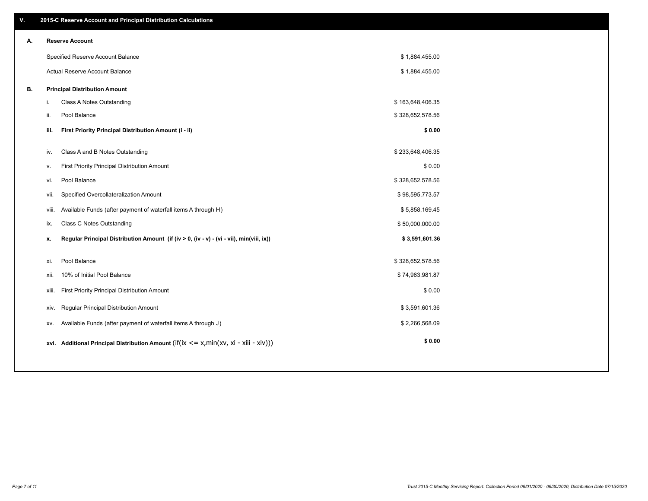| V. |       | 2015-C Reserve Account and Principal Distribution Calculations                             |                  |  |
|----|-------|--------------------------------------------------------------------------------------------|------------------|--|
| А. |       | <b>Reserve Account</b>                                                                     |                  |  |
|    |       | Specified Reserve Account Balance                                                          | \$1,884,455.00   |  |
|    |       | Actual Reserve Account Balance                                                             | \$1,884,455.00   |  |
| В. |       | <b>Principal Distribution Amount</b>                                                       |                  |  |
|    | i.    | Class A Notes Outstanding                                                                  | \$163,648,406.35 |  |
|    | ji.   | Pool Balance                                                                               | \$328,652,578.56 |  |
|    | iii.  | First Priority Principal Distribution Amount (i - ii)                                      | \$0.00           |  |
|    | iv.   | Class A and B Notes Outstanding                                                            | \$233,648,406.35 |  |
|    | v.    | First Priority Principal Distribution Amount                                               | \$0.00           |  |
|    | vi.   | Pool Balance                                                                               | \$328,652,578.56 |  |
|    | vii.  | Specified Overcollateralization Amount                                                     | \$98,595,773.57  |  |
|    | viii. | Available Funds (after payment of waterfall items A through H)                             | \$5,858,169.45   |  |
|    | ix.   | <b>Class C Notes Outstanding</b>                                                           | \$50,000,000.00  |  |
|    |       |                                                                                            |                  |  |
|    | x.    | Regular Principal Distribution Amount (if (iv > 0, (iv - v) - (vi - vii), min(viii, ix))   | \$3,591,601.36   |  |
|    | xi.   | Pool Balance                                                                               | \$328,652,578.56 |  |
|    | xii.  | 10% of Initial Pool Balance                                                                | \$74,963,981.87  |  |
|    | xiii. | First Priority Principal Distribution Amount                                               | \$0.00           |  |
|    | xiv.  | Regular Principal Distribution Amount                                                      | \$3,591,601.36   |  |
|    | XV.   | Available Funds (after payment of waterfall items A through J)                             | \$2,266,568.09   |  |
|    |       | xvi. Additional Principal Distribution Amount (if(ix $\lt$ = x, min(xv, xi - xiii - xiv))) | \$0.00           |  |
|    |       |                                                                                            |                  |  |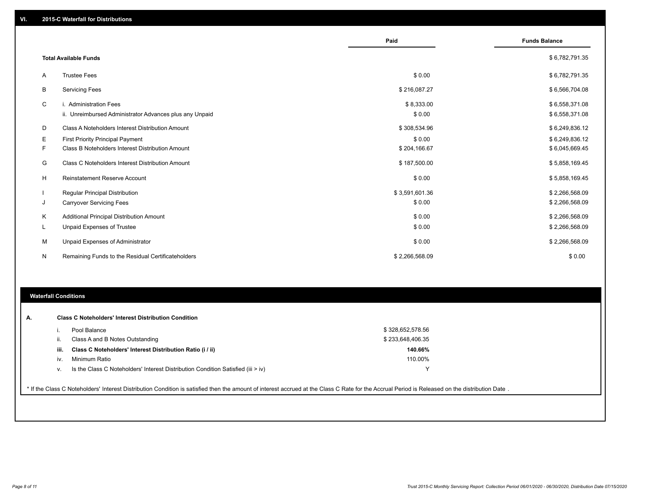|    |                                                                                   | Paid                 | <b>Funds Balance</b>             |
|----|-----------------------------------------------------------------------------------|----------------------|----------------------------------|
|    | <b>Total Available Funds</b>                                                      |                      | \$6,782,791.35                   |
| A  | <b>Trustee Fees</b>                                                               | \$0.00               | \$6,782,791.35                   |
| В  | <b>Servicing Fees</b>                                                             | \$216,087.27         | \$6,566,704.08                   |
| C  | i. Administration Fees<br>ii. Unreimbursed Administrator Advances plus any Unpaid | \$8,333.00<br>\$0.00 | \$6,558,371.08<br>\$6,558,371.08 |
| D  | Class A Noteholders Interest Distribution Amount                                  | \$308,534.96         | \$6,249,836.12                   |
| E. | First Priority Principal Payment                                                  | \$0.00               | \$6,249,836.12                   |
| F. | Class B Noteholders Interest Distribution Amount                                  | \$204,166.67         | \$6,045,669.45                   |
| G  | <b>Class C Noteholders Interest Distribution Amount</b>                           | \$187,500.00         | \$5,858,169.45                   |
| H  | Reinstatement Reserve Account                                                     | \$0.00               | \$5,858,169.45                   |
|    | Regular Principal Distribution                                                    | \$3,591,601.36       | \$2,266,568.09                   |
| J  | <b>Carryover Servicing Fees</b>                                                   | \$0.00               | \$2,266,568.09                   |
| Κ  | Additional Principal Distribution Amount                                          | \$0.00               | \$2,266,568.09                   |
| L  | Unpaid Expenses of Trustee                                                        | \$0.00               | \$2,266,568.09                   |
| м  | Unpaid Expenses of Administrator                                                  | \$0.00               | \$2,266,568.09                   |
| N  | Remaining Funds to the Residual Certificateholders                                | \$2,266,568.09       | \$0.00                           |

# **Waterfall Conditions**

|      | Pool Balance                                                                     | \$328,652,578.56 |  |
|------|----------------------------------------------------------------------------------|------------------|--|
|      | Class A and B Notes Outstanding                                                  | \$233,648,406.35 |  |
| iii. | Class C Noteholders' Interest Distribution Ratio (i / ii)                        | 140.66%          |  |
| iv.  | Minimum Ratio                                                                    | 110.00%          |  |
| ν.   | Is the Class C Noteholders' Interest Distribution Condition Satisfied (iii > iv) | $\checkmark$     |  |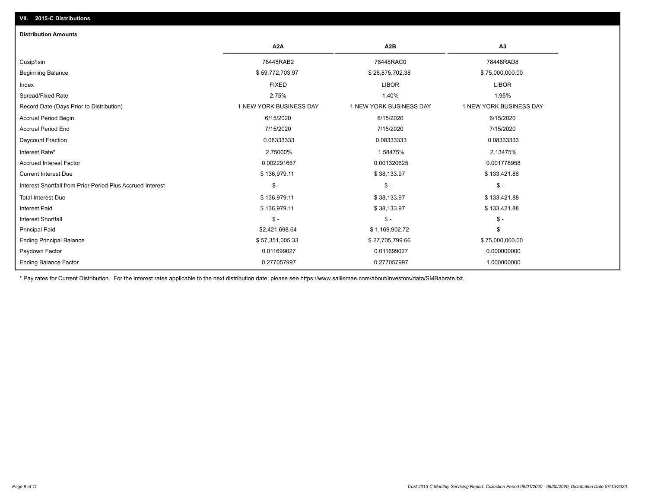# **VII. 2015-C Distributions**

| <b>Distribution Amounts</b>                                |                         |                         |                         |
|------------------------------------------------------------|-------------------------|-------------------------|-------------------------|
|                                                            | A <sub>2</sub> A        | A <sub>2</sub> B        | A <sub>3</sub>          |
| Cusip/Isin                                                 | 78448RAB2               | 78448RAC0               | 78448RAD8               |
| <b>Beginning Balance</b>                                   | \$59,772,703.97         | \$28,875,702.38         | \$75,000,000.00         |
| Index                                                      | <b>FIXED</b>            | <b>LIBOR</b>            | <b>LIBOR</b>            |
| Spread/Fixed Rate                                          | 2.75%                   | 1.40%                   | 1.95%                   |
| Record Date (Days Prior to Distribution)                   | 1 NEW YORK BUSINESS DAY | 1 NEW YORK BUSINESS DAY | 1 NEW YORK BUSINESS DAY |
| Accrual Period Begin                                       | 6/15/2020               | 6/15/2020               | 6/15/2020               |
| <b>Accrual Period End</b>                                  | 7/15/2020               | 7/15/2020               | 7/15/2020               |
| <b>Daycount Fraction</b>                                   | 0.08333333              | 0.08333333              | 0.08333333              |
| Interest Rate*                                             | 2.75000%                | 1.58475%                | 2.13475%                |
| <b>Accrued Interest Factor</b>                             | 0.002291667             | 0.001320625             | 0.001778958             |
| <b>Current Interest Due</b>                                | \$136,979.11            | \$38,133.97             | \$133,421.88            |
| Interest Shortfall from Prior Period Plus Accrued Interest | $\mathsf{\$}$ -         | $\mathsf{\$}$ -         | $\mathsf{\$}$ -         |
| <b>Total Interest Due</b>                                  | \$136,979.11            | \$38,133.97             | \$133,421.88            |
| <b>Interest Paid</b>                                       | \$136,979.11            | \$38,133.97             | \$133,421.88            |
| <b>Interest Shortfall</b>                                  | $\mathcal{S}$ -         | $\mathcal{S}$ -         | $\mathcal{S}$ -         |
| <b>Principal Paid</b>                                      | \$2,421,698.64          | \$1,169,902.72          | $\frac{1}{2}$           |
| <b>Ending Principal Balance</b>                            | \$57,351,005.33         | \$27,705,799.66         | \$75,000,000.00         |
| Paydown Factor                                             | 0.011699027             | 0.011699027             | 0.000000000             |
| <b>Ending Balance Factor</b>                               | 0.277057997             | 0.277057997             | 1.000000000             |

\* Pay rates for Current Distribution. For the interest rates applicable to the next distribution date, please see https://www.salliemae.com/about/investors/data/SMBabrate.txt.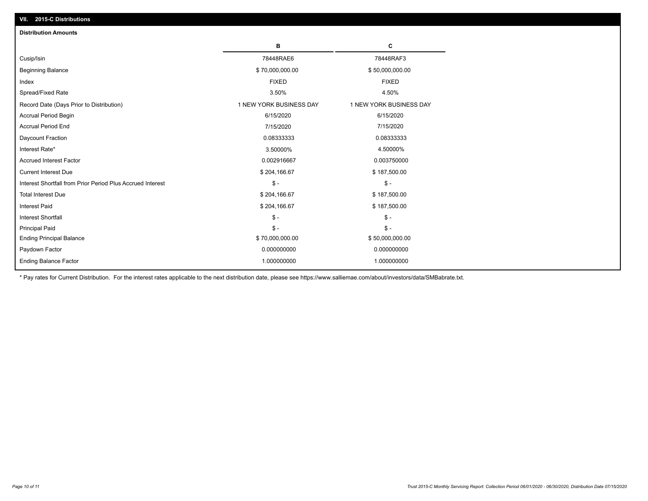| <b>Distribution Amounts</b>                                |                         |                         |
|------------------------------------------------------------|-------------------------|-------------------------|
|                                                            | в                       | C                       |
| Cusip/Isin                                                 | 78448RAE6               | 78448RAF3               |
| <b>Beginning Balance</b>                                   | \$70,000,000.00         | \$50,000,000.00         |
| Index                                                      | <b>FIXED</b>            | <b>FIXED</b>            |
| Spread/Fixed Rate                                          | 3.50%                   | 4.50%                   |
| Record Date (Days Prior to Distribution)                   | 1 NEW YORK BUSINESS DAY | 1 NEW YORK BUSINESS DAY |
| <b>Accrual Period Begin</b>                                | 6/15/2020               | 6/15/2020               |
| <b>Accrual Period End</b>                                  | 7/15/2020               | 7/15/2020               |
| Daycount Fraction                                          | 0.08333333              | 0.08333333              |
| Interest Rate*                                             | 3.50000%                | 4.50000%                |
| <b>Accrued Interest Factor</b>                             | 0.002916667             | 0.003750000             |
| <b>Current Interest Due</b>                                | \$204,166.67            | \$187,500.00            |
| Interest Shortfall from Prior Period Plus Accrued Interest | $\mathsf{\$}$ -         | $\mathsf{\$}$ -         |
| <b>Total Interest Due</b>                                  | \$204,166.67            | \$187,500.00            |
| Interest Paid                                              | \$204,166.67            | \$187,500.00            |
| <b>Interest Shortfall</b>                                  | $\mathcal{S}$ -         | $\mathsf{\$}$ -         |
| <b>Principal Paid</b>                                      | $\mathsf{\$}$ -         | $\mathsf{\$}$ -         |
| <b>Ending Principal Balance</b>                            | \$70,000,000.00         | \$50,000,000.00         |
| Paydown Factor                                             | 0.000000000             | 0.000000000             |
| <b>Ending Balance Factor</b>                               | 1.000000000             | 1.000000000             |

\* Pay rates for Current Distribution. For the interest rates applicable to the next distribution date, please see https://www.salliemae.com/about/investors/data/SMBabrate.txt.

**VII. 2015-C Distributions**